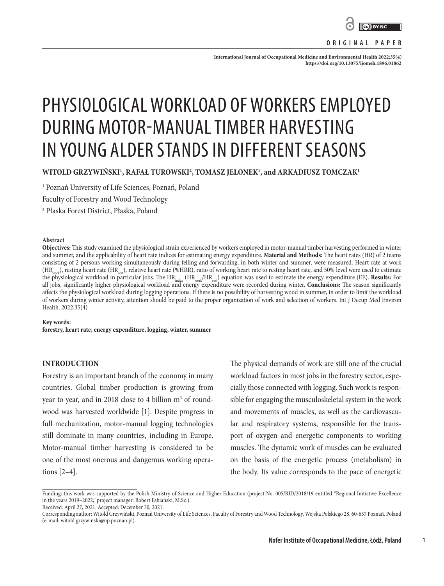

**ORIGINAL PAPER**

International Journal of Occupational Medicine and Environmental Health 2022;35(4): **<https://doi.org/10.13075/ijomeh.1896.01862>**

# PHYSIOLOGICAL WORKLOAD OF WORKERS EMPLOYED DURING MOTOR-MANUAL TIMBER HARVESTING IN YOUNG ALDER STANDS IN DIFFERENT SEASONS

**WITOLD GRZYWIŃSKI1 , RAFAŁ TUROWSKI2 , TOMASZ JELONEK1 , and ARKADIUSZ TOMCZAK1**

1 Poznań University of Life Sciences, Poznań, Poland

Faculty of Forestry and Wood Technology

2 Płaska Forest District, Płaska, Poland

#### **Abstract**

**Objectives:** This study examined the physiological strain experienced by workers employed in motor-manual timber harvesting performed in winter and summer, and the applicability of heart rate indices for estimating energy expenditure. **Material and Methods:** The heart rates (HR) of 2 teams consisting of 2 persons working simultaneously during felling and forwarding, in both winter and summer, were measured. Heart rate at work (HR<sub>work</sub>), resting heart rate (HR<sub>rest</sub>), relative heart rate (%HRR), ratio of working heart rate to resting heart rate, and 50% level were used to estimate the physiological workload in particular jobs. The HRindex (HRwork/HRrest) equation was used to estimate the energy expenditure (EE). **Results:** For all jobs, significantly higher physiological workload and energy expenditure were recorded during winter. **Conclusions:** The season significantly affects the physiological workload during logging operations. If there is no possibility of harvesting wood in summer, in order to limit the workload of workers during winter activity, attention should be paid to the proper organization of work and selection of workers. Int J Occup Med Environ Health. 2022;35(4)

**Key words: forestry, heart rate, energy expenditure, logging, winter, summer**

## **INTRODUCTION**

Forestry is an important branch of the economy in many countries. Global timber production is growing from year to year, and in 2018 close to 4 billion m<sup>3</sup> of roundwood was harvested worldwide [1]. Despite progress in full mechanization, motor-manual logging technologies still dominate in many countries, including in Europe. Motor-manual timber harvesting is considered to be one of the most onerous and dangerous working operations [2–4].

The physical demands of work are still one of the crucial workload factors in most jobs in the forestry sector, especially those connected with logging. Such work is responsible for engaging the musculoskeletal system in the work and movements of muscles, as well as the cardiovascular and respiratory systems, responsible for the transport of oxygen and energetic components to working muscles. The dynamic work of muscles can be evaluated on the basis of the energetic process (metabolism) in the body. Its value corresponds to the pace of energetic

Received: April 27, 2021. Accepted: December 30, 2021.

**1**

Funding: this work was supported by the Polish Ministry of Science and Higher Education (project No. 005/RID/2018/19 entitled "Regional Initiative Excellence in the years 2019–2022," project manager: Robert Fabiański, M.Sc.).

Corresponding author: Witold Grzywiński, Poznań University of Life Sciences, Faculty of Forestry and Wood Technology, Wojska Polskiego 28, 60-637 Poznań, Poland (e-mail: witold.grzywinski@up.poznan.pl).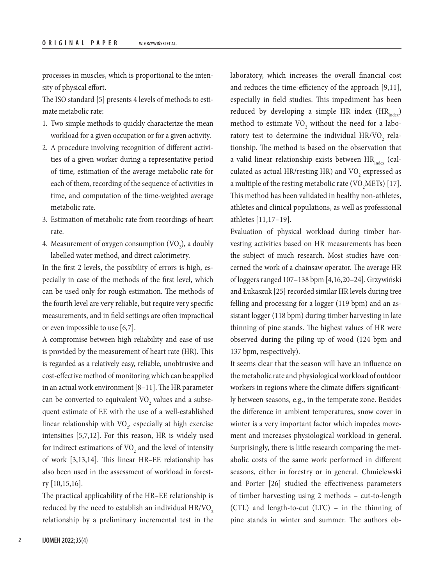processes in muscles, which is proportional to the intensity of physical effort.

The ISO standard [5] presents 4 levels of methods to estimate metabolic rate:

- 1. Two simple methods to quickly characterize the mean workload for a given occupation or for a given activity.
- 2. A procedure involving recognition of different activities of a given worker during a representative period of time, estimation of the average metabolic rate for each of them, recording of the sequence of activities in time, and computation of the time-weighted average metabolic rate.
- 3. Estimation of metabolic rate from recordings of heart rate.
- 4. Measurement of oxygen consumption  $(\rm VO_2)$ , a doubly labelled water method, and direct calorimetry.

In the first 2 levels, the possibility of errors is high, especially in case of the methods of the first level, which can be used only for rough estimation. The methods of the fourth level are very reliable, but require very specific measurements, and in field settings are often impractical or even impossible to use [6,7].

A compromise between high reliability and ease of use is provided by the measurement of heart rate (HR). This is regarded as a relatively easy, reliable, unobtrusive and cost-effective method of monitoring which can be applied in an actual work environment [8–11]. The HR parameter can be converted to equivalent  $\rm VO_{2}$  values and a subsequent estimate of EE with the use of a well-established linear relationship with  $\rm VO_{2}$ , especially at high exercise intensities [5,7,12]. For this reason, HR is widely used for indirect estimations of  $\rm VO_{2}$  and the level of intensity of work [3,13,14]. This linear HR–EE relationship has also been used in the assessment of workload in forestry [10,15,16].

The practical applicability of the HR–EE relationship is reduced by the need to establish an individual  $HR/VO<sub>2</sub>$ relationship by a preliminary incremental test in the

laboratory, which increases the overall financial cost and reduces the time-efficiency of the approach [9,11], especially in field studies. This impediment has been reduced by developing a simple HR index  $(HR<sub>index</sub>)$ method to estimate  $\text{VO}_2$  without the need for a laboratory test to determine the individual  $\text{HR/VO}_2$  relationship. The method is based on the observation that a valid linear relationship exists between  $HR_{index}$  (calculated as actual HR/resting HR) and  $\text{VO}_2$  expressed as a multiple of the resting metabolic rate (VO<sub>2</sub>METs) [17]. This method has been validated in healthy non-athletes, athletes and clinical populations, as well as professional athletes [11,17–19].

Evaluation of physical workload during timber harvesting activities based on HR measurements has been the subject of much research. Most studies have concerned the work of a chainsaw operator. The average HR of loggers ranged 107–138 bpm [4,16,20–24]. Grzywiński and Łukaszuk [25] recorded similar HR levels during tree felling and processing for a logger (119 bpm) and an assistant logger (118 bpm) during timber harvesting in late thinning of pine stands. The highest values of HR were observed during the piling up of wood (124 bpm and 137 bpm, respectively).

It seems clear that the season will have an influence on the metabolic rate and physiological workload of outdoor workers in regions where the climate differs significantly between seasons, e.g., in the temperate zone. Besides the difference in ambient temperatures, snow cover in winter is a very important factor which impedes movement and increases physiological workload in general. Surprisingly, there is little research comparing the metabolic costs of the same work performed in different seasons, either in forestry or in general. Chmielewski and Porter [26] studied the effectiveness parameters of timber harvesting using 2 methods – cut-to-length (CTL) and length-to-cut (LTC) – in the thinning of pine stands in winter and summer. The authors ob-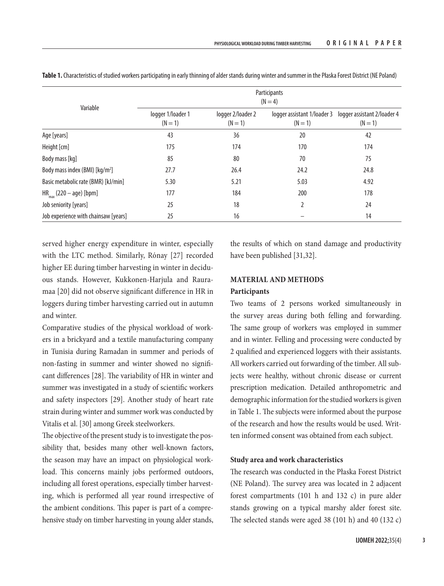|                                            | Participants<br>$(N=4)$        |                                |         |                                                                    |  |  |  |  |
|--------------------------------------------|--------------------------------|--------------------------------|---------|--------------------------------------------------------------------|--|--|--|--|
| Variable                                   | logger 1/loader 1<br>$(N = 1)$ | logger 2/loader 2<br>$(N = 1)$ | $(N=1)$ | logger assistant 1/loader 3 logger assistant 2/loader 4<br>$(N=1)$ |  |  |  |  |
| Age [years]                                | 43                             | 36                             | 20      | 42                                                                 |  |  |  |  |
| Height [cm]                                | 175                            | 174                            | 170     | 174                                                                |  |  |  |  |
| Body mass [kg]                             | 85                             | 80                             | 70      | 75                                                                 |  |  |  |  |
| Body mass index (BMI) [kg/m <sup>2</sup> ] | 27.7                           | 26.4                           | 24.2    | 24.8                                                               |  |  |  |  |
| Basic metabolic rate (BMR) [kJ/min]        | 5.30                           | 5.21                           | 5.03    | 4.92                                                               |  |  |  |  |
| $HR_{max}$ (220 – age) [bpm]               | 177                            | 184                            | 200     | 178                                                                |  |  |  |  |
| Job seniority [years]                      | 25                             | 18                             | 2       | 24                                                                 |  |  |  |  |
| Job experience with chainsaw [years]       | 25                             | 16                             |         | 14                                                                 |  |  |  |  |

**Table 1.** Characteristics of studied workers participating in early thinning of alder stands during winter and summer in the Płaska Forest District (NE Poland)

served higher energy expenditure in winter, especially with the LTC method. Similarly, Rónay [27] recorded higher EE during timber harvesting in winter in deciduous stands. However, Kukkonen-Harjula and Rauramaa [20] did not observe significant difference in HR in loggers during timber harvesting carried out in autumn and winter.

Comparative studies of the physical workload of workers in a brickyard and a textile manufacturing company in Tunisia during Ramadan in summer and periods of non-fasting in summer and winter showed no significant differences [28]. The variability of HR in winter and summer was investigated in a study of scientific workers and safety inspectors [29]. Another study of heart rate strain during winter and summer work was conducted by Vitalis et al. [30] among Greek steelworkers.

The objective of the present study is to investigate the possibility that, besides many other well-known factors, the season may have an impact on physiological workload. This concerns mainly jobs performed outdoors, including all forest operations, especially timber harvesting, which is performed all year round irrespective of the ambient conditions. This paper is part of a comprehensive study on timber harvesting in young alder stands,

the results of which on stand damage and productivity have been published [31,32].

# **MATERIAL AND METHODS**

# **Participants**

Two teams of 2 persons worked simultaneously in the survey areas during both felling and forwarding. The same group of workers was employed in summer and in winter. Felling and processing were conducted by 2 qualified and experienced loggers with their assistants. All workers carried out forwarding of the timber. All subjects were healthy, without chronic disease or current prescription medication. Detailed anthropometric and demographic information for the studied workers is given in Table 1. The subjects were informed about the purpose of the research and how the results would be used. Written informed consent was obtained from each subject.

# **Study area and work characteristics**

The research was conducted in the Płaska Forest District (NE Poland). The survey area was located in 2 adjacent forest compartments (101 h and 132 c) in pure alder stands growing on a typical marshy alder forest site. The selected stands were aged 38 (101 h) and 40 (132 c)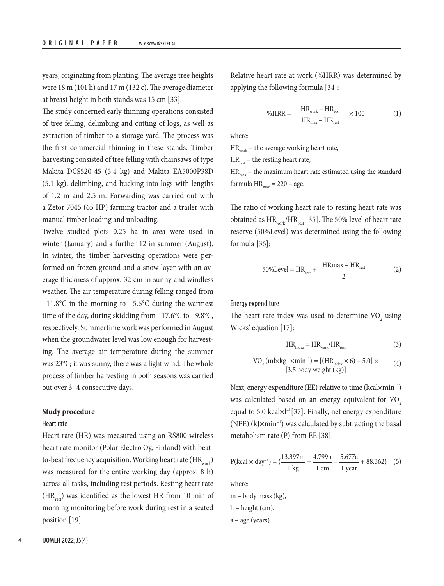years, originating from planting. The average tree heights were 18 m (101 h) and 17 m (132 c). The average diameter at breast height in both stands was 15 cm [33].

The study concerned early thinning operations consisted of tree felling, delimbing and cutting of logs, as well as extraction of timber to a storage yard. The process was the first commercial thinning in these stands. Timber harvesting consisted of tree felling with chainsaws of type Makita DCS520-45 (5.4 kg) and Makita EA5000P38D (5.1 kg), delimbing, and bucking into logs with lengths of 1.2 m and 2.5 m. Forwarding was carried out with a Zetor 7045 (65 HP) farming tractor and a trailer with manual timber loading and unloading.

Twelve studied plots 0.25 ha in area were used in winter (January) and a further 12 in summer (August). In winter, the timber harvesting operations were performed on frozen ground and a snow layer with an average thickness of approx. 32 cm in sunny and windless weather. The air temperature during felling ranged from –11.8°C in the morning to –5.6°C during the warmest time of the day, during skidding from  $-17.6$ °C to  $-9.8$ °C, respectively. Summertime work was performed in August when the groundwater level was low enough for harvesting. The average air temperature during the summer was 23°C; it was sunny, there was a light wind. The whole process of timber harvesting in both seasons was carried out over 3–4 consecutive days.

### **Study procedure**

### Heart rate

Heart rate (HR) was measured using an RS800 wireless heart rate monitor (Polar Electro Oy, Finland) with beatto-beat frequency acquisition. Working heart rate  $(HR_{\text{max}})$ was measured for the entire working day (approx. 8 h) across all tasks, including rest periods. Resting heart rate  $(HR_{rest})$  was identified as the lowest HR from 10 min of morning monitoring before work during rest in a seated position [19].

Relative heart rate at work (%HRR) was determined by applying the following formula [34]:

$$
\%HRR = \frac{HR_{work} - HR_{rest}}{HR_{max} - HR_{rest}} \times 100
$$
 (1)

where:

 $\rm{HR}_{\tiny{work}}$  – the average working heart rate,

 $HR_{rest}$  – the resting heart rate,

 $HR<sub>max</sub>$  – the maximum heart rate estimated using the standard formula  $HR_{max} = 220 - age$ .

The ratio of working heart rate to resting heart rate was obtained as  $HR_{work}/HR_{rest}$  [35]. The 50% level of heart rate reserve (50%Level) was determined using the following formula [36]:

$$
50\% \text{Level} = \text{HR}_{\text{rest}} + \frac{\text{HRmax} - \text{HR}_{\text{rest}}}{2} \tag{2}
$$

# Energy expenditure

The heart rate index was used to determine  $\rm VO_{2}$  using Wicks' equation [17]:

$$
HR_{index} = HR_{work}/HR_{rest}
$$
 (3)

$$
VO2 (ml \times kg-1 \times min-1) = [(HRindex \times 6) - 5.0] \times
$$
  
[3.5 body weight (kg)] (4)

Next, energy expenditure (EE) relative to time (kcal×min<sup>-1</sup>) was calculated based on an energy equivalent for VO<sub>2</sub> equal to 5.0 kcal×l–1[37]. Finally, net energy expenditure (NEE)  $(kJ \times min^{-1})$  was calculated by subtracting the basal metabolism rate (P) from EE [38]:

$$
P(kcal \times day^{-1}) = \left(\frac{13.397m}{1 \text{ kg}} + \frac{4.799h}{1 \text{ cm}} - \frac{5.677a}{1 \text{ year}} + 88.362\right) \tag{5}
$$

where:

m – body mass (kg),

h – height (cm),

a – age (years).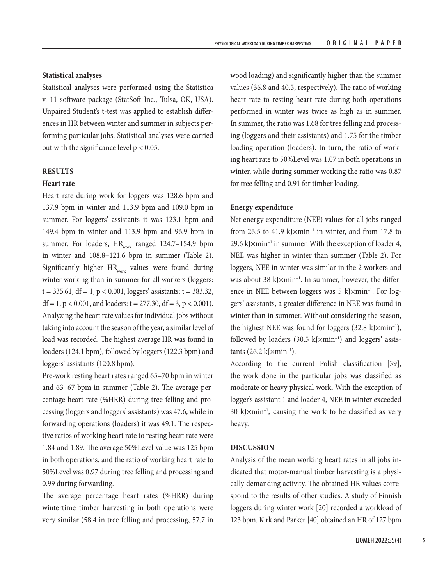#### **Statistical analyses**

Statistical analyses were performed using the Statistica v. 11 software package (StatSoft Inc., Tulsa, OK, USA). Unpaired Student's t-test was applied to establish differences in HR between winter and summer in subjects performing particular jobs. Statistical analyses were carried out with the significance level  $p < 0.05$ .

#### **RESULTS**

## **Heart rate**

Heart rate during work for loggers was 128.6 bpm and 137.9 bpm in winter and 113.9 bpm and 109.0 bpm in summer. For loggers' assistants it was 123.1 bpm and 149.4 bpm in winter and 113.9 bpm and 96.9 bpm in summer. For loaders,  $HR_{work}$  ranged 124.7–154.9 bpm in winter and 108.8–121.6 bpm in summer (Table 2). Significantly higher  $HR_{work}$  values were found during winter working than in summer for all workers (loggers:  $t = 335.61$ ,  $df = 1$ ,  $p < 0.001$ , loggers' assistants:  $t = 383.32$ , df = 1, p < 0.001, and loaders:  $t = 277.30$ , df = 3, p < 0.001). Analyzing the heart rate values for individual jobs without taking into account the season of the year, a similar level of load was recorded. The highest average HR was found in loaders (124.1 bpm), followed by loggers (122.3 bpm) and loggers' assistants (120.8 bpm).

Pre-work resting heart rates ranged 65–70 bpm in winter and 63–67 bpm in summer (Table 2). The average percentage heart rate (%HRR) during tree felling and processing (loggers and loggers' assistants) was 47.6, while in forwarding operations (loaders) it was 49.1. The respective ratios of working heart rate to resting heart rate were 1.84 and 1.89. The average 50%Level value was 125 bpm in both operations, and the ratio of working heart rate to 50%Level was 0.97 during tree felling and processing and 0.99 during forwarding.

The average percentage heart rates (%HRR) during wintertime timber harvesting in both operations were very similar (58.4 in tree felling and processing, 57.7 in

wood loading) and significantly higher than the summer values (36.8 and 40.5, respectively). The ratio of working heart rate to resting heart rate during both operations performed in winter was twice as high as in summer. In summer, the ratio was 1.68 for tree felling and processing (loggers and their assistants) and 1.75 for the timber loading operation (loaders). In turn, the ratio of working heart rate to 50%Level was 1.07 in both operations in winter, while during summer working the ratio was 0.87 for tree felling and 0.91 for timber loading.

#### **Energy expenditure**

Net energy expenditure (NEE) values for all jobs ranged from 26.5 to 41.9 kJ $\times$ min<sup>-1</sup> in winter, and from 17.8 to 29.6 kJ $\times$ min<sup>-1</sup> in summer. With the exception of loader 4, NEE was higher in winter than summer (Table 2). For loggers, NEE in winter was similar in the 2 workers and was about 38 kJ×min–1. In summer, however, the difference in NEE between loggers was 5 kJ×min<sup>-1</sup>. For loggers' assistants, a greater difference in NEE was found in winter than in summer. Without considering the season, the highest NEE was found for loggers  $(32.8 \text{ kJ} \times \text{min}^{-1})$ , followed by loaders  $(30.5 \text{ kJ} \times \text{min}^{-1})$  and loggers' assistants  $(26.2 \text{ kJ} \times \text{min}^{-1})$ .

According to the current Polish classification [39], the work done in the particular jobs was classified as moderate or heavy physical work. With the exception of logger's assistant 1 and loader 4, NEE in winter exceeded  $30 \text{ kJ} \times \text{min}^{-1}$ , causing the work to be classified as very heavy.

## **DISCUSSION**

Analysis of the mean working heart rates in all jobs indicated that motor-manual timber harvesting is a physically demanding activity. The obtained HR values correspond to the results of other studies. A study of Finnish loggers during winter work [20] recorded a workload of 123 bpm. Kirk and Parker [40] obtained an HR of 127 bpm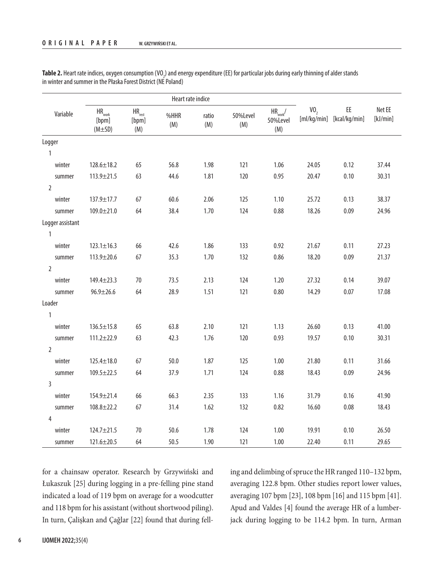|                  | Heart rate indice                                     |                                               |             |              |                 |                                                     |                 |                                 |                    |
|------------------|-------------------------------------------------------|-----------------------------------------------|-------------|--------------|-----------------|-----------------------------------------------------|-----------------|---------------------------------|--------------------|
| Variable         | $\mathsf{HR}_{\mathsf{work}}$<br>[bpm]<br>$(M\pm SD)$ | $\mathsf{HR}_{\mathsf{rest}}$<br>[bpm]<br>(M) | %HHR<br>(M) | ratio<br>(M) | 50%Level<br>(M) | $\mathsf{HR}_{\mathsf{work}}\!/$<br>50%Level<br>(M) | VO <sub>2</sub> | EE<br>[ml/kg/min] [kcal/kg/min] | Net EE<br>[kJ/min] |
| Logger           |                                                       |                                               |             |              |                 |                                                     |                 |                                 |                    |
| $\mathbf{1}$     |                                                       |                                               |             |              |                 |                                                     |                 |                                 |                    |
| winter           | $128.6 \pm 18.2$                                      | 65                                            | 56.8        | 1.98         | 121             | 1.06                                                | 24.05           | 0.12                            | 37.44              |
| summer           | 113.9±21.5                                            | 63                                            | 44.6        | 1.81         | 120             | 0.95                                                | 20.47           | 0.10                            | 30.31              |
| $\overline{2}$   |                                                       |                                               |             |              |                 |                                                     |                 |                                 |                    |
| winter           | 137.9±17.7                                            | 67                                            | 60.6        | 2.06         | 125             | 1.10                                                | 25.72           | 0.13                            | 38.37              |
| summer           | $109.0 \pm 21.0$                                      | 64                                            | 38.4        | 1.70         | 124             | 0.88                                                | 18.26           | 0.09                            | 24.96              |
| Logger assistant |                                                       |                                               |             |              |                 |                                                     |                 |                                 |                    |
| $\mathbf{1}$     |                                                       |                                               |             |              |                 |                                                     |                 |                                 |                    |
| winter           | $123.1 \pm 16.3$                                      | 66                                            | 42.6        | 1.86         | 133             | 0.92                                                | 21.67           | 0.11                            | 27.23              |
| summer           | 113.9±20.6                                            | 67                                            | 35.3        | 1.70         | 132             | 0.86                                                | 18.20           | 0.09                            | 21.37              |
| $\overline{2}$   |                                                       |                                               |             |              |                 |                                                     |                 |                                 |                    |
| winter           | $149.4 \pm 23.3$                                      | 70                                            | 73.5        | 2.13         | 124             | 1.20                                                | 27.32           | 0.14                            | 39.07              |
| summer           | $96.9 \pm 26.6$                                       | 64                                            | 28.9        | 1.51         | 121             | 0.80                                                | 14.29           | 0.07                            | 17.08              |
| Loader           |                                                       |                                               |             |              |                 |                                                     |                 |                                 |                    |
| $\mathbf{1}$     |                                                       |                                               |             |              |                 |                                                     |                 |                                 |                    |
| winter           | $136.5 \pm 15.8$                                      | 65                                            | 63.8        | 2.10         | 121             | 1.13                                                | 26.60           | 0.13                            | 41.00              |
| summer           | $111.2 \pm 22.9$                                      | 63                                            | 42.3        | 1.76         | 120             | 0.93                                                | 19.57           | 0.10                            | 30.31              |
| $\overline{2}$   |                                                       |                                               |             |              |                 |                                                     |                 |                                 |                    |
| winter           | $125.4 \pm 18.0$                                      | 67                                            | 50.0        | 1.87         | 125             | 1.00                                                | 21.80           | 0.11                            | 31.66              |
| summer           | $109.5 \pm 22.5$                                      | 64                                            | 37.9        | 1.71         | 124             | 0.88                                                | 18.43           | 0.09                            | 24.96              |
| $\overline{3}$   |                                                       |                                               |             |              |                 |                                                     |                 |                                 |                    |
| winter           | 154.9±21.4                                            | 66                                            | 66.3        | 2.35         | 133             | 1.16                                                | 31.79           | 0.16                            | 41.90              |
| summer           | $108.8 \pm 22.2$                                      | 67                                            | 31.4        | 1.62         | 132             | 0.82                                                | 16.60           | 0.08                            | 18.43              |
| 4                |                                                       |                                               |             |              |                 |                                                     |                 |                                 |                    |
| winter           | 124.7±21.5                                            | 70                                            | 50.6        | 1.78         | 124             | 1.00                                                | 19.91           | 0.10                            | 26.50              |
| summer           | $121.6 \pm 20.5$                                      | 64                                            | 50.5        | 1.90         | 121             | 1.00                                                | 22.40           | 0.11                            | 29.65              |

**Table 2.** Heart rate indices, oxygen consumption (VO<sub>2</sub>) and energy expenditure (EE) for particular jobs during early thinning of alder stands in winter and summer in the Płaska Forest District (NE Poland)

for a chainsaw operator. Research by Grzywiński and Łukaszuk [25] during logging in a pre-felling pine stand indicated a load of 119 bpm on average for a woodcutter and 118 bpm for his assistant (without shortwood piling). In turn, Çalişkan and Çağlar [22] found that during felling and delimbing of spruce the HR ranged 110–132 bpm, averaging 122.8 bpm. Other studies report lower values, averaging 107 bpm [23], 108 bpm [16] and 115 bpm [41]. Apud and Valdes [4] found the average HR of a lumberjack during logging to be 114.2 bpm. In turn, Arman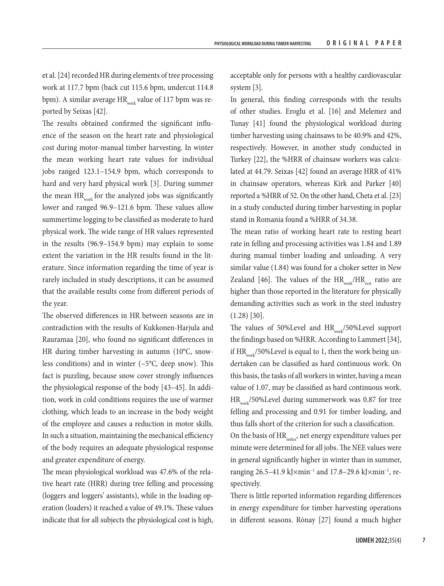et al. [24] recorded HR during elements of tree processing work at 117.7 bpm (back cut 115.6 bpm, undercut 114.8 bpm). A similar average  $HR_{work}$  value of 117 bpm was reported by Seixas [42].

The results obtained confirmed the significant influence of the season on the heart rate and physiological cost during motor-manual timber harvesting. In winter the mean working heart rate values for individual jobs ranged 123.1–154.9 bpm, which corresponds to hard and very hard physical work [3]. During summer the mean  $HR_{work}$  for the analyzed jobs was significantly lower and ranged 96.9–121.6 bpm. These values allow summertime logging to be classified as moderate to hard physical work. The wide range of HR values represented in the results (96.9–154.9 bpm) may explain to some extent the variation in the HR results found in the literature. Since information regarding the time of year is rarely included in study descriptions, it can be assumed that the available results come from different periods of the year.

The observed differences in HR between seasons are in contradiction with the results of Kukkonen-Harjula and Rauramaa [20], who found no significant differences in HR during timber harvesting in autumn (10°C, snowless conditions) and in winter (–5°C, deep snow). This fact is puzzling, because snow cover strongly influences the physiological response of the body [43–45]. In addition, work in cold conditions requires the use of warmer clothing, which leads to an increase in the body weight of the employee and causes a reduction in motor skills. In such a situation, maintaining the mechanical efficiency of the body requires an adequate physiological response and greater expenditure of energy.

The mean physiological workload was 47.6% of the relative heart rate (HRR) during tree felling and processing (loggers and loggers' assistants), while in the loading operation (loaders) it reached a value of 49.1%. These values indicate that for all subjects the physiological cost is high, acceptable only for persons with a healthy cardiovascular system [3].

In general, this finding corresponds with the results of other studies. Eroglu et al. [16] and Melemez and Tunay [41] found the physiological workload during timber harvesting using chainsaws to be 40.9% and 42%, respectively. However, in another study conducted in Turkey [22], the %HRR of chainsaw workers was calculated at 44.79. Seixas [42] found an average HRR of 41% in chainsaw operators, whereas Kirk and Parker [40] reported a %HRR of 52. On the other hand, Cheta et al. [23] in a study conducted during timber harvesting in poplar stand in Romania found a %HRR of 34.38.

The mean ratio of working heart rate to resting heart rate in felling and processing activities was 1.84 and 1.89 during manual timber loading and unloading. A very similar value (1.84) was found for a choker setter in New Zealand [46]. The values of the  $HR_{work}/HR_{rest}$  ratio are higher than those reported in the literature for physically demanding activities such as work in the steel industry (1.28) [30].

The values of 50%Level and HR<sub>work</sub>/50%Level support the findings based on %HRR. According to Lammert [34], if  $HR_{work}/50\%$ Level is equal to 1, then the work being undertaken can be classified as hard continuous work. On this basis, the tasks of all workers in winter, having a mean value of 1.07, may be classified as hard continuous work. HR<sub>work</sub>/50%Level during summerwork was 0.87 for tree felling and processing and 0.91 for timber loading, and thus falls short of the criterion for such a classification.

On the basis of HR<sub>index</sub>, net energy expenditure values per minute were determined for all jobs. The NEE values were in general significantly higher in winter than in summer, ranging 26.5–41.9 kJ×min–1 and 17.8–29.6 kJ×min–1, respectively.

There is little reported information regarding differences in energy expenditure for timber harvesting operations in different seasons. Rόnay [27] found a much higher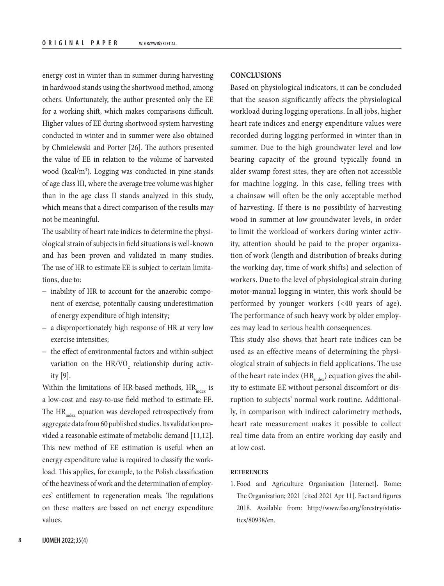energy cost in winter than in summer during harvesting in hardwood stands using the shortwood method, among others. Unfortunately, the author presented only the EE for a working shift, which makes comparisons difficult. Higher values of EE during shortwood system harvesting conducted in winter and in summer were also obtained by Chmielewski and Porter [26]. The authors presented the value of EE in relation to the volume of harvested wood (kcal/m3 ). Logging was conducted in pine stands of age class III, where the average tree volume was higher than in the age class II stands analyzed in this study, which means that a direct comparison of the results may not be meaningful.

The usability of heart rate indices to determine the physiological strain of subjects in field situations is well-known and has been proven and validated in many studies. The use of HR to estimate EE is subject to certain limitations, due to:

- inability of HR to account for the anaerobic component of exercise, potentially causing underestimation of energy expenditure of high intensity;
- a disproportionately high response of HR at very low exercise intensities;
- the effect of environmental factors and within-subject variation on the  $\rm HR/VO_{2}$  relationship during activity [9].

Within the limitations of HR-based methods,  $HR_{index}$  is a low-cost and easy-to-use field method to estimate EE. The HR<sub>index</sub> equation was developed retrospectively from aggregate data from 60 published studies. Its validation provided a reasonable estimate of metabolic demand [11,12]. This new method of EE estimation is useful when an energy expenditure value is required to classify the workload. This applies, for example, to the Polish classification of the heaviness of work and the determination of employees' entitlement to regeneration meals. The regulations on these matters are based on net energy expenditure values.

## **CONCLUSIONS**

Based on physiological indicators, it can be concluded that the season significantly affects the physiological workload during logging operations. In all jobs, higher heart rate indices and energy expenditure values were recorded during logging performed in winter than in summer. Due to the high groundwater level and low bearing capacity of the ground typically found in alder swamp forest sites, they are often not accessible for machine logging. In this case, felling trees with a chainsaw will often be the only acceptable method of harvesting. If there is no possibility of harvesting wood in summer at low groundwater levels, in order to limit the workload of workers during winter activity, attention should be paid to the proper organization of work (length and distribution of breaks during the working day, time of work shifts) and selection of workers. Due to the level of physiological strain during motor-manual logging in winter, this work should be performed by younger workers (<40 years of age). The performance of such heavy work by older employees may lead to serious health consequences.

This study also shows that heart rate indices can be used as an effective means of determining the physiological strain of subjects in field applications. The use of the heart rate index  $(HR<sub>index</sub>)$  equation gives the ability to estimate EE without personal discomfort or disruption to subjects' normal work routine. Additionally, in comparison with indirect calorimetry methods, heart rate measurement makes it possible to collect real time data from an entire working day easily and at low cost.

#### **REFERENCES**

1. Food and Agriculture Organisation [Internet]. Rome: The Organization; 2021 [cited 2021 Apr 11]. Fact and figures 2018. Available from: [http://www.fao.org/forestry/statis](http://www.fao.org/forestry/statistics/80938/en)[tics/80938/en](http://www.fao.org/forestry/statistics/80938/en).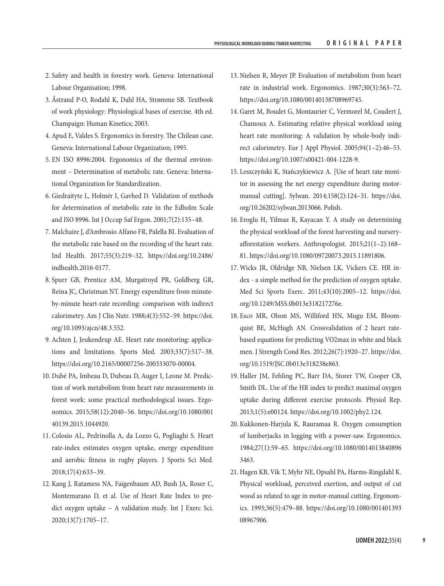- 2. Safety and health in forestry work. Geneva: International Labour Organisation; 1998.
- 3. Åstrand P-O, Rodahl K, Dahl HA, Strømme SB. Textbook of work physiology: Physiological bases of exercise. 4th ed. Champaign: Human Kinetics; 2003.
- 4. Apud E, Valdes S. Ergonomics in forestry. The Chilean case. Geneva: International Labour Organization; 1995.
- 5. EN ISO 8996:2004. Ergonomics of the thermal environment – Determination of metabolic rate. Geneva: International Organization for Standardization.
- 6. Giedraityte L, Holmér I, Gavhed D. Validation of methods for determination of metabolic rate in the Edholm Scale and ISO 8996. Int J Occup Saf Ergon. 2001;7(2):135–48.
- 7. Malchaire J, d'Ambrosio Alfano FR, Palella BI. Evaluation of the metabolic rate based on the recording of the heart rate. Ind Health. 2017;55(3):219–32. [https://doi.org/10.2486/](https://doi.org/10.2486/indhealth.2016-0177) [indhealth.2016-0177.](https://doi.org/10.2486/indhealth.2016-0177)
- 8. Spurr GB, Prentice AM, Murgatroyd PR, Goldberg GR, Reina JC, Christman NT. Energy expenditure from minuteby-minute heart-rate recording: comparison with indirect calorimetry. Am J Clin Nutr. 1988;4(3):552–59. [https://doi.](https://doi.org/10.1093/ajcn/48.3.552) [org/10.1093/ajcn/48.3.552.](https://doi.org/10.1093/ajcn/48.3.552)
- 9. Achten J, Jeukendrup AE. Heart rate monitoring: applications and limitations. Sports Med. 2003;33(7):517–38. <https://doi.org/10.2165/00007256-200333070-00004>.
- 10. Dubé PA, Imbeau D, Dubeau D, Auger I, Leone M. Prediction of work metabolism from heart rate measurements in forest work: some practical methodological issues. Ergonomics. 2015;58(12):2040–56. [https://doi.org/10.1080/001](https://doi.org/10.1080/00140139.2015.1044920) [40139.2015.1044920.](https://doi.org/10.1080/00140139.2015.1044920)
- 11. Colosio AL, Pedrinolla A, da Lozzo G, Pogliaghi S. Heart rate-index estimates oxygen uptake, energy expenditure and aerobic fitness in rugby players. J Sports Sci Med. 2018;17(4):633–39.
- 12. Kang J, Ratamess NA, Faigenbaum AD, Bush JA, Roser C, Montemarano D, et al. Use of Heart Rate Index to predict oxygen uptake – A validation study. Int J Exerc Sci. 2020;13(7):1705–17.
- 13. Nielsen R, Meyer JP. Evaluation of metabolism from heart rate in industrial work. Ergonomics. 1987;30(3):563–72. [https://doi.org/10.1080/00140138708969745.](https://doi.org/10.1080/00140138708969745)
- 14. Garet M, Boudet G, Montaurier C, Vermorel M, Coudert J, Chamoux A. Estimating relative physical workload using heart rate monitoring: A validation by whole-body indirect calorimetry. Eur J Appl Physiol. 2005;94(1–2):46–53. <https://doi.org/10.1007/s00421-004-1228-9>.
- 15. Leszczyński K, Stańczykiewicz A. [Use of heart rate monitor in assessing the net energy expenditure during motormanual cutting]. Sylwan. 2014;158(2):124–31. [https://doi.](https://doi.org/10.26202/sylwan.2013066) [org/10.26202/sylwan.2013066](https://doi.org/10.26202/sylwan.2013066). Polish.
- 16. Eroglu H, Yilmaz R, Kayacan Y. A study on determining the physical workload of the forest harvesting and nurseryafforestation workers. Anthropologist. 2015;21(1–2):168– 81. [https://doi.org/10.1080/09720073.2015.11891806.](https://doi.org/10.1080/09720073.2015.11891806)
- 17. Wicks JR, Oldridge NB, Nielsen LK, Vickers CE. HR index - a simple method for the prediction of oxygen uptake. Med Sci Sports Exerc. 2011;43(10):2005–12. [https://doi.](https://doi.org/10.1249/MSS.0b013e318217276e) [org/10.1249/MSS.0b013e318217276e.](https://doi.org/10.1249/MSS.0b013e318217276e)
- 18. Esco MR, Olson MS, Williford HN, Mugu EM, Bloomquist BE, McHugh AN. Crossvalidation of 2 heart ratebased equations for predicting VO2max in white and black men. J Strength Cond Res. 2012;26(7):1920–27. [https://doi.](https://doi.org/10.1519/JSC.0b013e318238e863) [org/10.1519/JSC.0b013e318238e863](https://doi.org/10.1519/JSC.0b013e318238e863).
- 19. Haller JM, Fehling PC, Barr DA, Storer TW, Cooper CB, Smith DL. Use of the HR index to predict maximal oxygen uptake during different exercise protocols. Physiol Rep. 2013;1(5):e00124. [https://doi.org/10.1002/phy2.124.](https://doi.org/10.1002/phy2.124)
- 20. Kukkonen-Harjula K, Rauramaa R. Oxygen consumption of lumberjacks in logging with a power-saw. Ergonomics. 1984;27(1):59–65. [https://doi.org/10.1080/0014013840896](https://doi.org/10.1080/00140138408963463) [3463](https://doi.org/10.1080/00140138408963463).
- 21. Hagen KB, Vik T, Myhr NE, Opsahl PA, Harms-Ringdahl K. Physical workload, perceived exertion, and output of cut wood as related to age in motor-manual cutting. Ergonomics. 1993;36(5):479–88. [https://doi.org/10.1080/001401393](https://doi.org/10.1080/00140139308967906) [08967906](https://doi.org/10.1080/00140139308967906).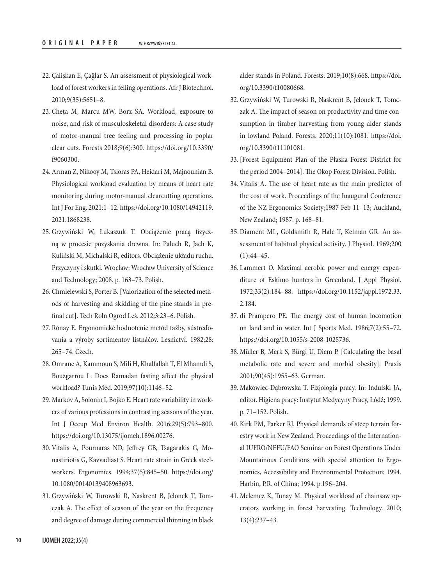- 22. Çalişkan E, Çağlar S. An assessment of physiological workload of forest workers in felling operations. Afr J Biotechnol. 2010;9(35):5651–8.
- 23. Cheţa M, Marcu MW, Borz SA. Workload, exposure to noise, and risk of musculoskeletal disorders: A case study of motor-manual tree feeling and processing in poplar clear cuts. Forests 2018;9(6):300. [https://doi.org/10.3390/](https://doi.org/10.3390/f9060300) [f9060300](https://doi.org/10.3390/f9060300).
- 24. Arman Z, Nikooy M, Tsioras PA, Heidari M, Majnounian B. Physiological workload evaluation by means of heart rate monitoring during motor-manual clearcutting operations. Int J For Eng. 2021:1–12. [https://doi.org/10.1080/14942119.](https://doi.org/10.1080/14942119.2021.1868238) [2021.1868238](https://doi.org/10.1080/14942119.2021.1868238).
- 25. Grzywiński W, Łukaszuk T. Obciążenie pracą fizyczną w procesie pozyskania drewna. In: Paluch R, Jach K, Kuliński M, Michalski R, editors. Obciążenie układu ruchu. Przyczyny i skutki. Wrocław: Wrocław University of Science and Technology; 2008. p. 163–73. Polish.
- 26. Chmielewski S, Porter B. [Valorization of the selected methods of harvesting and skidding of the pine stands in prefinal cut]. Tech Roln Ogrod Leś. 2012;3:23–6. Polish.
- 27. Rónay E. Ergonomické hodnotenie metód tažby, sústreďovania a výroby sortimentov listnáčov. Lesnictvi. 1982;28: 265–74. Czech.
- 28. Omrane A, Kammoun S, Mili H, Khalfallah T, El Mhamdi S, Bouzgarrou L. Does Ramadan fasting affect the physical workload? Tunis Med. 2019;97(10):1146–52.
- 29. Markov A, Solonin I, Bojko E. Heart rate variability in workers of various professions in contrasting seasons of the year. Int J Occup Med Environ Health. 2016;29(5):793–800. <https://doi.org/10.13075/ijomeh.1896.00276>.
- 30. Vitalis A, Pournaras ND, Jeffrey GB, Tsagarakis G, Monastiriotis G, Kavvadiast S. Heart rate strain in Greek steelworkers. Ergonomics. 1994;37(5):845–50. [https://doi.org/](https://doi.org/10.1080/00140139408963693) [10.1080/00140139408963693.](https://doi.org/10.1080/00140139408963693)
- 31. Grzywiński W, Turowski R, Naskrent B, Jelonek T, Tomczak A. The effect of season of the year on the frequency and degree of damage during commercial thinning in black

alder stands in Poland. Forests. 2019;10(8):668. [https://doi.](https://doi.org/10.3390/f10080668) [org/10.3390/f10080668.](https://doi.org/10.3390/f10080668)

- 32. Grzywiński W, Turowski R, Naskrent B, Jelonek T, Tomczak A. The impact of season on productivity and time consumption in timber harvesting from young alder stands in lowland Poland. Forests. 2020;11(10):1081. [https://doi.](https://doi.org/10.3390/f11101081) [org/10.3390/f11101081.](https://doi.org/10.3390/f11101081)
- 33. [Forest Equipment Plan of the Płaska Forest District for the period 2004–2014]. The Okop Forest Division. Polish.
- 34. Vitalis A. The use of heart rate as the main predictor of the cost of work. Proceedings of the Inaugural Conference of the NZ Ergonomics Society;1987 Feb 11–13; Auckland, New Zealand; 1987. p. 168–81.
- 35.Diament ML, Goldsmith R, Hale T, Kelman GR. An assessment of habitual physical activity. J Physiol. 1969;200  $(1):44-45.$
- 36. Lammert O. Maximal aerobic power and energy expenditure of Eskimo hunters in Greenland. J Appl Physiol. 1972;33(2):184–88. [https://doi.org/10.1152/jappl.1972.33.](https://doi.org/10.1152/jappl.1972.33.2.184) [2.184.](https://doi.org/10.1152/jappl.1972.33.2.184)
- 37. di Prampero PE. The energy cost of human locomotion on land and in water. Int J Sports Med. 1986;7(2):55–72. <https://doi.org/10.1055/s-2008-1025736>.
- 38. Müller B, Merk S, Bürgi U, Diem P. [Calculating the basal metabolic rate and severe and morbid obesity]. Praxis 2001;90(45):1955–63. German.
- 39. Makowiec-Dąbrowska T. Fizjologia pracy. In: Indulski JA, editor. Higiena pracy: Instytut Medycyny Pracy, Łódź; 1999. p. 71–152. Polish.
- 40. Kirk PM, Parker RJ. Physical demands of steep terrain forestry work in New Zealand. Proceedings of the International IUFRO/NEFU/FAO Seminar on Forest Operations Under Mountainous Conditions with special attention to Ergonomics, Accessibility and Environmental Protection; 1994. Harbin, P.R. of China; 1994. p.196–204.
- 41. Melemez K, Tunay M. Physical workload of chainsaw operators working in forest harvesting. Technology. 2010; 13(4):237–43.